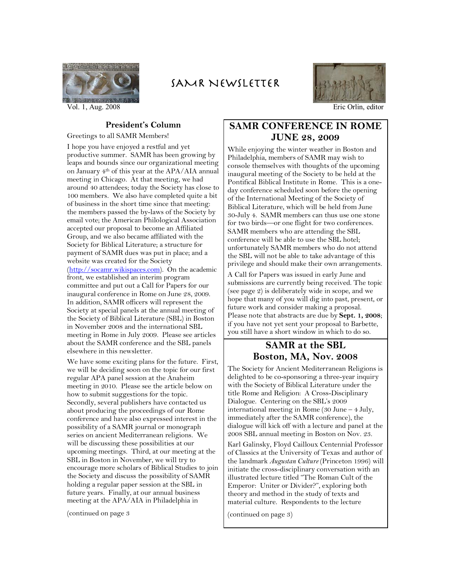

Vol. 1, Aug. 2008 Eric Orlin, editor

## SAMR NEWSLETTER



#### **Presidentís Column**

Greetings to all SAMR Members! I hope you have enjoyed a restful and yet productive summer. SAMR has been growing by leaps and bounds since our organizational meeting

on January 4th of this year at the APA/AIA annual meeting in Chicago. At that meeting, we had around 40 attendees; today the Society has close to 100 members. We also have completed quite a bit of business in the short time since that meeting: the members passed the by-laws of the Society by email vote; the American Philological Association accepted our proposal to become an Affiliated Group, and we also became affiliated with the Society for Biblical Literature; a structure for payment of SAMR dues was put in place; and a website was created for the Society (http://socamr.wikispaces.com). On the academic front, we established an interim program committee and put out a Call for Papers for our inaugural conference in Rome on June 28, 2009. In addition, SAMR officers will represent the Society at special panels at the annual meeting of the Society of Biblical Literature (SBL) in Boston in November 2008 and the international SBL meeting in Rome in July 2009. Please see articles about the SAMR conference and the SBL panels elsewhere in this newsletter.

We have some exciting plans for the future. First, we will be deciding soon on the topic for our first regular APA panel session at the Anaheim meeting in 2010. Please see the article below on how to submit suggestions for the topic. Secondly, several publishers have contacted us about producing the proceedings of our Rome conference and have also expressed interest in the possibility of a SAMR journal or monograph series on ancient Mediterranean religions. We will be discussing these possibilities at our upcoming meetings. Third, at our meeting at the SBL in Boston in November, we will try to encourage more scholars of Biblical Studies to join the Society and discuss the possibility of SAMR holding a regular paper session at the SBL in future years. Finally, at our annual business meeting at the APA/AIA in Philadelphia in

(continued on page 3

#### **SAMR CONFERENCE IN ROME JUNE 28, 2009**

While enjoying the winter weather in Boston and Philadelphia, members of SAMR may wish to console themselves with thoughts of the upcoming inaugural meeting of the Society to be held at the Pontifical Biblical Institute in Rome. This is a oneday conference scheduled soon before the opening of the International Meeting of the Society of Biblical Literature, which will be held from June 30-July 4. SAMR members can thus use one stone for two birds-or one flight for two conferences. SAMR members who are attending the SBL conference will be able to use the SBL hotel; unfortunately SAMR members who do not attend the SBL will not be able to take advantage of this privilege and should make their own arrangements.

A Call for Papers was issued in early June and submissions are currently being received. The topic (see page 2) is deliberately wide in scope, and we hope that many of you will dig into past, present, or future work and consider making a proposal. Please note that abstracts are due by **Sept. 1, 2008**; if you have not yet sent your proposal to Barbette, you still have a short window in which to do so.

#### **SAMR at the SBL Boston, MA, Nov. 2008**

The Society for Ancient Mediterranean Religions is delighted to be co-sponsoring a three-year inquiry with the Society of Biblical Literature under the title Rome and Religion: A Cross-Disciplinary Dialogue. Centering on the SBL's 2009 international meeting in Rome  $(30$  June  $-4$  July, immediately after the SAMR conference), the dialogue will kick off with a lecture and panel at the 2008 SBL annual meeting in Boston on Nov. 23.

Karl Galinsky, Floyd Cailloux Centennial Professor of Classics at the University of Texas and author of the landmark *Augustan Culture* (Princeton 1996) will initiate the cross-disciplinary conversation with an illustrated lecture titled "The Roman Cult of the Emperor: Uniter or Divider?", exploring both theory and method in the study of texts and material culture. Respondents to the lecture

(continued on page 3)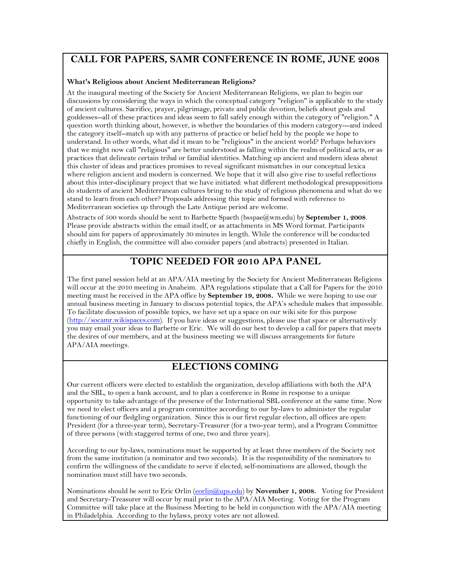### **CALL FOR PAPERS, SAMR CONFERENCE IN ROME, JUNE 2008**

#### **What's Religious about Ancient Mediterranean Religions?**

At the inaugural meeting of the Society for Ancient Mediterranean Religions, we plan to begin our discussions by considering the ways in which the conceptual category "religion" is applicable to the study of ancient cultures. Sacrifice, prayer, pilgrimage, private and public devotion, beliefs about gods and goddesses--all of these practices and ideas seem to fall safely enough within the category of "religion." A question worth thinking about, however, is whether the boundaries of this modern category---and indeed the category itself--match up with any patterns of practice or belief held by the people we hope to understand. In other words, what did it mean to be "religious" in the ancient world? Perhaps behaviors that we might now call "religious" are better understood as falling within the realm of political acts, or as practices that delineate certain tribal or familial identities. Matching up ancient and modern ideas about this cluster of ideas and practices promises to reveal significant mismatches in our conceptual lexica where religion ancient and modern is concerned. We hope that it will also give rise to useful reflections about this inter-disciplinary project that we have initiated: what different methodological presuppositions do students of ancient Mediterranean cultures bring to the study of religious phenomena and what do we stand to learn from each other? Proposals addressing this topic and formed with reference to Mediterranean societies up through the Late Antique period are welcome.

Abstracts of 500 words should be sent to Barbette Spaeth (bsspae@wm.edu) by **September 1, 2008**. Please provide abstracts within the email itself, or as attachments in MS Word format. Participants should aim for papers of approximately 30 minutes in length. While the conference will be conducted chiefly in English, the committee will also consider papers (and abstracts) presented in Italian.

### **TOPIC NEEDED FOR 2010 APA PANEL**

The first panel session held at an APA/AIA meeting by the Society for Ancient Mediterranean Religions will occur at the 2010 meeting in Anaheim. APA regulations stipulate that a Call for Papers for the 2010 meeting must be received in the APA office by **September 19, 2008.** While we were hoping to use our annual business meeting in January to discuss potential topics, the APA's schedule makes that impossible. To facilitate discussion of possible topics, we have set up a space on our wiki site for this purpose (http://socamr.wikispaces.com). If you have ideas or suggestions, please use that space or alternatively you may email your ideas to Barbette or Eric. We will do our best to develop a call for papers that meets the desires of our members, and at the business meeting we will discuss arrangements for future APA/AIA meetings.

### **ELECTIONS COMING**

Our current officers were elected to establish the organization, develop affiliations with both the APA and the SBL, to open a bank account, and to plan a conference in Rome in response to a unique opportunity to take advantage of the presence of the International SBL conference at the same time. Now we need to elect officers and a program committee according to our by-laws to administer the regular functioning of our fledgling organization. Since this is our first regular election, all offices are open: President (for a three-year term), Secretary-Treasurer (for a two-year term), and a Program Committee of three persons (with staggered terms of one, two and three years).

According to our by-laws, nominations must be supported by at least three members of the Society not from the same institution (a nominator and two seconds). It is the responsibility of the nominators to confirm the willingness of the candidate to serve if elected; self-nominations are allowed, though the nomination must still have two seconds.

Nominations should be sent to Eric Orlin (eorlin@ups.edu) by **November 1, 2008.** Voting for President and Secretary-Treasurer will occur by mail prior to the APA/AIA Meeting. Voting for the Program Committee will take place at the Business Meeting to be held in conjunction with the APA/AIA meeting in Philadelphia. According to the bylaws, proxy votes are not allowed.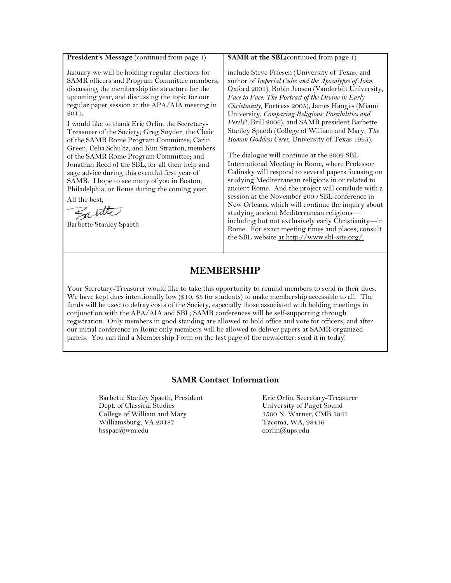President's Message (continued from page 1)

January we will be holding regular elections for SAMR officers and Program Committee members, discussing the membership fee structure for the upcoming year, and discussing the topic for our regular paper session at the APA/AIA meeting in 2011.

I would like to thank Eric Orlin, the Secretary-Treasurer of the Society; Greg Snyder, the Chair of the SAMR Rome Program Committee; Carin Green, Celia Schultz, and Kim Stratton, members of the SAMR Rome Program Committee; and Jonathan Reed of the SBL, for all their help and sage advice during this eventful first year of SAMR. I hope to see many of you in Boston, Philadelphia, or Rome during the coming year. All the best,

Sabille

Barbette Stanley Spaeth

**SAMR** at the SBL(continued from page 1)

include Steve Friesen (University of Texas, and author of *Imperial Cults and the Apocalypse of John*, Oxford 2001), Robin Jensen (Vanderbilt University, *Face to Face: The Portrait of the Divine in Early Christianity*, Fortress 2005), James Hanges (Miami University, *Comparing Religions: Possibilities and Perils*?, Brill 2006), and SAMR president Barbette Stanley Spaeth (College of William and Mary, *The Roman Goddess Ceres*, University of Texas 1995).

The dialogue will continue at the 2009 SBL International Meeting in Rome, where Professor Galinsky will respond to several papers focusing on studying Mediterranean religions in or related to ancient Rome. And the project will conclude with a session at the November 2009 SBL conference in New Orleans, which will continue the inquiry about studying ancient Mediterranean religionsincluding but not exclusively early Christianity-in Rome. For exact meeting times and places, consult the SBL website at http://www.sbl-site.org/.

#### **MEMBERSHIP**

Your Secretary-Treasurer would like to take this opportunity to remind members to send in their dues. We have kept dues intentionally low (\$10, \$5 for students) to make membership accessible to all. The funds will be used to defray costs of the Society, especially those associated with holding meetings in conjunction with the APA/AIA and SBL; SAMR conferences will be self-supporting through registration. Only members in good standing are allowed to hold office and vote for officers, and after our initial conference in Rome only members will be allowed to deliver papers at SAMR-organized panels. You can find a Membership Form on the last page of the newsletter; send it in today!

#### **SAMR Contact Information**

Barbette Stanley Spaeth, President Dept. of Classical Studies College of William and Mary Williamsburg, VA 23187 bsspae@wm.edu

Eric Orlin, Secretary-Treasurer University of Puget Sound 1500 N. Warner, CMB 1061 Tacoma, WA, 98416 eorlin@ups.edu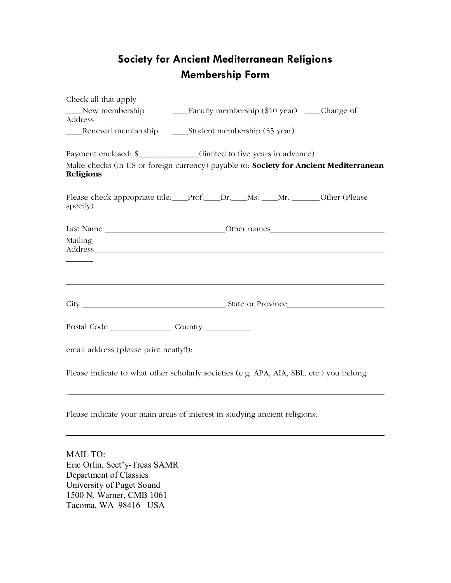# **Society for Ancient Mediterranean Religions Membership Form**

| Check all that apply                                                                                                                                                                                                                      |  |  |  |
|-------------------------------------------------------------------------------------------------------------------------------------------------------------------------------------------------------------------------------------------|--|--|--|
| Address                                                                                                                                                                                                                                   |  |  |  |
| ____Renewal membership _________Student membership (\$5 year)                                                                                                                                                                             |  |  |  |
| Payment enclosed: \$____________(limited to five years in advance)                                                                                                                                                                        |  |  |  |
| Make checks (in US or foreign currency) payable to: Society for Ancient Mediterranean<br>Religions                                                                                                                                        |  |  |  |
| Please check appropriate title: Prof. Dr. Ms. Mr. Community Other (Please<br>specify)                                                                                                                                                     |  |  |  |
|                                                                                                                                                                                                                                           |  |  |  |
| Mailing<br>Address and the state of the state of the state of the state of the state of the state of the state of the state of the state of the state of the state of the state of the state of the state of the state of the state of th |  |  |  |
|                                                                                                                                                                                                                                           |  |  |  |
|                                                                                                                                                                                                                                           |  |  |  |
|                                                                                                                                                                                                                                           |  |  |  |
|                                                                                                                                                                                                                                           |  |  |  |
| Please indicate to what other scholarly societies (e.g. APA, AIA, SBL, etc.) you belong:                                                                                                                                                  |  |  |  |
| Please indicate your main areas of interest in studying ancient religions:                                                                                                                                                                |  |  |  |
|                                                                                                                                                                                                                                           |  |  |  |

MAIL TO: Eric Orlin, Sect'y-Treas SAMR Department of Classics University of Puget Sound 1500 N. Warner, CMB 1061 Tacoma, WA 98416 USA